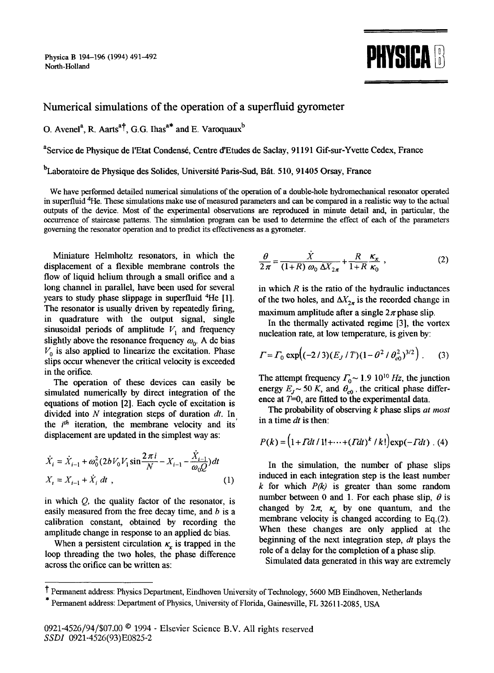Physica B 194-196 (1994) 491-492



## **Numerical simulations of the operation of a superfluid gyrometer**

O. Avenel<sup>a</sup>, R. Aarts<sup>a†</sup>, G.G. Ihas<sup>a\*</sup> and E. Varoquaux<sup>b</sup>

<sup>a</sup>Service de Physique de l'Etat Condensé, Centre d'Etudes de Saclay, 91191 Gif-sur-Yvette Cedex, France

<sup>b</sup>Laboratoire de Physique des Solides, Université Paris-Sud, Bât. 510, 91405 Orsay, France

We have performed detailed numerical simulations of the operation of a double-hole hydromechanical resonator operated in superfluid 4He. These simulations make use of measured parameters and can be compared in a realistic way to the actual outputs of the device. Most of the experimental observations are reproduced in minute detail and, in particular, the occurrence of staircase patterns. The simulation program can be used to determine the effect of each of the parameters governing the resonator operation and to predict its effectiveness as a gyrometer.

Miniature Helmholtz resonators, in which the displacement of a flexible membrane controls the flow of liquid helium through a small orifice and a long channel in parallel, have been used for several years to study phase slippage in superfluid 4He [1]. The resonator is usually driven by repeatedly firing, in quadrature with the output signal, single sinusoidal periods of amplitude  $V_1$  and frequency slightly above the resonance frequency  $\omega_0$ . A dc bias  $V_0$  is also applied to linearize the excitation. Phase slips occur whenever the critical velocity is exceeded in the orifice.

The operation of these devices can easily be simulated numerically by direct integration of the equations of motion [2]. Each cycle of excitation is divided into N integration steps of duration *dt.* In the *i<sup>th</sup>* iteration, the membrane velocity and its displacement are updated in the simplest way as:

$$
\dot{X}_i = \dot{X}_{i-1} + \omega_0^2 (2bV_0V_1\sin\frac{2\pi i}{N} - X_{i-1} - \frac{\dot{X}_{i-1}}{\omega_0 Q})dt
$$
  

$$
X_i = X_{i-1} + \dot{X}_i dt,
$$
 (1)

in which  $Q$ , the quality factor of the resonator, is easily measured from the free decay time, and b is a calibration constant, obtained by recording the amplitude change in response to an applied dc bias.

When a persistent circulation  $\kappa_r$  is trapped in the loop threading the two holes, the phase difference across the orifice can be written as:

$$
\frac{\theta}{2\pi} = \frac{\dot{X}}{(1+R)\omega_0 \Delta X_{2\pi}} + \frac{R}{1+R}\frac{\kappa_x}{\kappa_0} \,, \tag{2}
$$

in which  $R$  is the ratio of the hydraulic inductances of the two holes, and  $\Delta X_{2\pi}$  is the recorded change in maximum amplitude after a single  $2\pi$  phase slip.

In the thermally activated regime [3], the vortex nucleation rate, at low temperature, is given by:

$$
\Gamma = \Gamma_0 \exp\Bigl( \frac{-2}{3} (E_J / T) (1 - \theta^2 / \theta_{\rm c0}^2)^{3/2} \Bigr) \ . \tag{3}
$$

The attempt frequency  $\Gamma_0 \sim 1.9 \; 10^{10} \; Hz$ , the junction energy  $E_I \sim 50 K$ , and  $\theta_{c0}$ , the critical phase difference at  $T=0$ , are fitted to the experimental data.

The probability of observing k phase slips *at most*  in a time *dt* is then:

$$
P(k) = (1 + Tdt / 1! + \dots + (Tdt)^{k} / k!) \exp(-Tdt) . (4)
$$

In the simulation, the number of phase slips induced in each integration step is the least number  $k$  for which  $P(k)$  is greater than some random number between 0 and 1. For each phase slip,  $\theta$  is changed by  $2\pi$ ,  $\kappa$ , by one quantum, and the membrane velocity is changed according to Eq.(2). When these changes are only applied at the beginning of the next integration step, *dt* plays the role of a delay for the completion of a phase slip.

Simulated data generated in this way are extremely

I" Permanent address: Physics Department, Eindhoven University of Technology, 5600 MB Eindhoven, Netherlands

<sup>\*</sup> Permanent address: Department of Physics, University of Florida, Gainesville, FL 32611-2085, USA